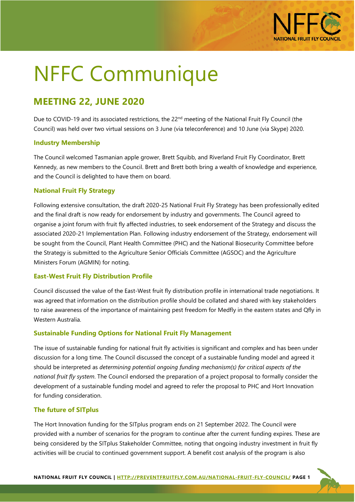

# NFFC Communique

# **MEETING 22, JUNE 2020**

Due to COVID-19 and its associated restrictions, the  $22^{nd}$  meeting of the National Fruit Fly Council (the Council) was held over two virtual sessions on 3 June (via teleconference) and 10 June (via Skype) 2020.

### **Industry Membership**

The Council welcomed Tasmanian apple grower, Brett Squibb, and Riverland Fruit Fly Coordinator, Brett Kennedy, as new members to the Council. Brett and Brett both bring a wealth of knowledge and experience, and the Council is delighted to have them on board.

### **National Fruit Fly Strategy**

Following extensive consultation, the draft 2020-25 National Fruit Fly Strategy has been professionally edited and the final draft is now ready for endorsement by industry and governments. The Council agreed to organise a joint forum with fruit fly affected industries, to seek endorsement of the Strategy and discuss the associated 2020-21 Implementation Plan. Following industry endorsement of the Strategy, endorsement will be sought from the Council, Plant Health Committee (PHC) and the National Biosecurity Committee before the Strategy is submitted to the Agriculture Senior Officials Committee (AGSOC) and the Agriculture Ministers Forum (AGMIN) for noting.

# **East-West Fruit Fly Distribution Profile**

Council discussed the value of the East-West fruit fly distribution profile in international trade negotiations. It was agreed that information on the distribution profile should be collated and shared with key stakeholders to raise awareness of the importance of maintaining pest freedom for Medfly in the eastern states and Qfly in Western Australia.

# **Sustainable Funding Options for National Fruit Fly Management**

The issue of sustainable funding for national fruit fly activities is significant and complex and has been under discussion for a long time. The Council discussed the concept of a sustainable funding model and agreed it should be interpreted as *determining potential ongoing funding mechanism(s) for critical aspects of the national fruit fly system*. The Council endorsed the preparation of a project proposal to formally consider the development of a sustainable funding model and agreed to refer the proposal to PHC and Hort Innovation for funding consideration.

# **The future of SITplus**

The Hort Innovation funding for the SITplus program ends on 21 September 2022. The Council were provided with a number of scenarios for the program to continue after the current funding expires. These are being considered by the SITplus Stakeholder Committee, noting that ongoing industry investment in fruit fly activities will be crucial to continued government support. A benefit cost analysis of the program is also